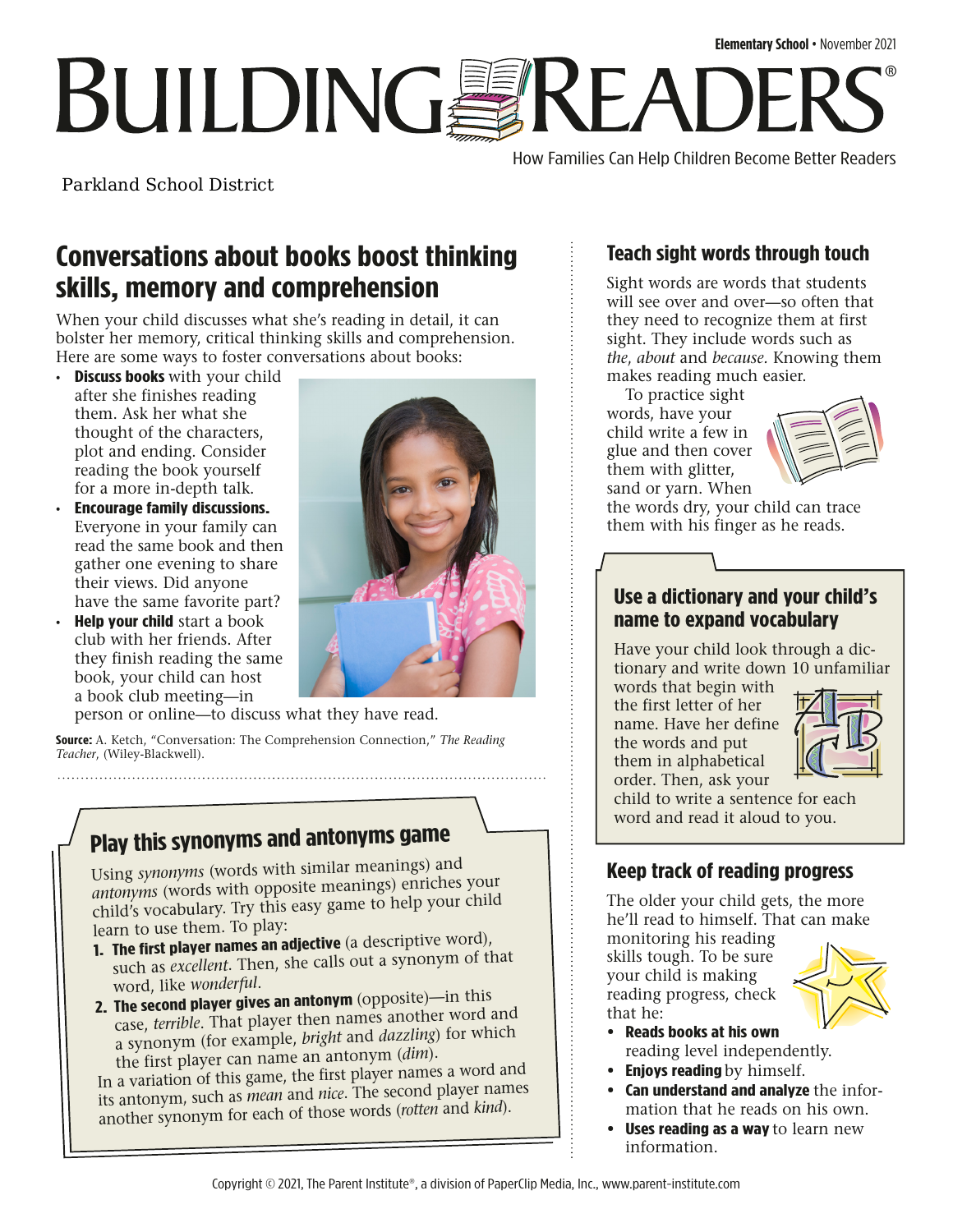# **Elementary School** • November 2021 **BUILDINGSREADI** ®

How Families Can Help Children Become Better Readers

Parkland School District

### **Conversations about books boost thinking skills, memory and comprehension**

When your child discusses what she's reading in detail, it can bolster her memory, critical thinking skills and comprehension. Here are some ways to foster conversations about books:

- **Discuss books** with your child after she finishes reading them. Ask her what she thought of the characters, plot and ending. Consider reading the book yourself for a more in-depth talk.
- **Encourage family discussions.**  Everyone in your family can read the same book and then gather one evening to share their views. Did anyone have the same favorite part?
- **Help your child** start a book club with her friends. After they finish reading the same book, your child can host a book club meeting—in



person or online—to discuss what they have read.

**Source:** A. Ketch, "Conversation: The Comprehension Connection," *The Reading Teacher*, (Wiley-Blackwell).

### **Play this synonyms and antonyms game**

Using *synonyms* (words with similar meanings) and *antonyms* (words with opposite meanings) enriches your child's vocabulary. Try this easy game to help your child learn to use them. To play:

- **1. The first player names an adjective** (a descriptive word), such as *excellent*. Then, she calls out a synonym of that word, like *wonderful*.
- **2. The second player gives an antonym** (opposite)—in this case, *terrible*. That player then names another word and a synonym (for example, *bright* and *dazzling*) for which the first player can name an antonym (*dim*).

In a variation of this game, the first player names a word and its antonym, such as *mean* and *nice*. The second player names another synonym for each of those words (*rotten* and *kind*).

### **Teach sight words through touch**

Sight words are words that students will see over and over—so often that they need to recognize them at first sight. They include words such as *the*, *about* and *because.* Knowing them makes reading much easier.

To practice sight words, have your child write a few in glue and then cover them with glitter, sand or yarn. When



the words dry, your child can trace them with his finger as he reads.

#### **Use a dictionary and your child's name to expand vocabulary**

Have your child look through a dictionary and write down 10 unfamiliar

words that begin with the first letter of her name. Have her define the words and put them in alphabetical order. Then, ask your



child to write a sentence for each word and read it aloud to you.

#### **Keep track of reading progress**

The older your child gets, the more he'll read to himself. That can make

monitoring his reading skills tough. To be sure your child is making reading progress, check that he:



- **• Reads books at his own** reading level independently.
- **• Enjoys reading**by himself.
- **• Can understand and analyze** the information that he reads on his own.
- **• Uses reading as a way**to learn new information.